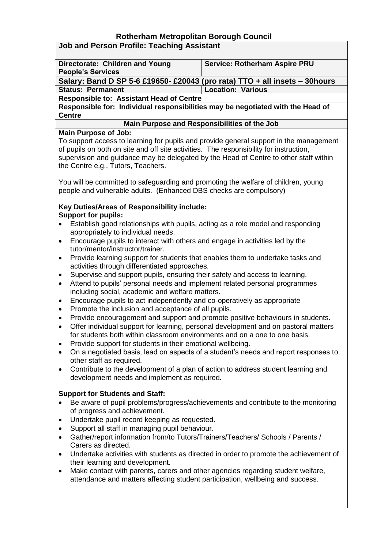## **Rotherham Metropolitan Borough Council**

|  |  |  |  |  | <b>Job and Person Profile: Teaching Assistant</b> |
|--|--|--|--|--|---------------------------------------------------|
|--|--|--|--|--|---------------------------------------------------|

| Directorate: Children and Young                                             | <b>Service: Rotherham Aspire PRU</b> |  |  |  |  |
|-----------------------------------------------------------------------------|--------------------------------------|--|--|--|--|
| <b>People's Services</b>                                                    |                                      |  |  |  |  |
| Salary: Band D SP 5-6 £19650- £20043 (pro rata) TTO + all insets - 30 hours |                                      |  |  |  |  |

**Status: Permanent Location: Various**

**Responsible to: Assistant Head of Centre**

**Responsible for: Individual responsibilities may be negotiated with the Head of Centre**

#### **Main Purpose and Responsibilities of the Job**

#### **Main Purpose of Job:**

To support access to learning for pupils and provide general support in the management of pupils on both on site and off site activities. The responsibility for instruction, supervision and guidance may be delegated by the Head of Centre to other staff within the Centre e.g., Tutors, Teachers.

You will be committed to safeguarding and promoting the welfare of children, young people and vulnerable adults. (Enhanced DBS checks are compulsory)

#### **Key Duties/Areas of Responsibility include: Support for pupils:**

- Establish good relationships with pupils, acting as a role model and responding appropriately to individual needs.
- Encourage pupils to interact with others and engage in activities led by the tutor/mentor/instructor/trainer.
- Provide learning support for students that enables them to undertake tasks and activities through differentiated approaches.
- Supervise and support pupils, ensuring their safety and access to learning.
- Attend to pupils' personal needs and implement related personal programmes including social, academic and welfare matters.
- Encourage pupils to act independently and co-operatively as appropriate
- Promote the inclusion and acceptance of all pupils.
- Provide encouragement and support and promote positive behaviours in students.
- Offer individual support for learning, personal development and on pastoral matters for students both within classroom environments and on a one to one basis.
- Provide support for students in their emotional wellbeing.
- On a negotiated basis, lead on aspects of a student's needs and report responses to other staff as required.
- Contribute to the development of a plan of action to address student learning and development needs and implement as required.

### **Support for Students and Staff:**

- Be aware of pupil problems/progress/achievements and contribute to the monitoring of progress and achievement.
- Undertake pupil record keeping as requested.
- Support all staff in managing pupil behaviour.
- Gather/report information from/to Tutors/Trainers/Teachers/ Schools / Parents / Carers as directed.
- Undertake activities with students as directed in order to promote the achievement of their learning and development.
- Make contact with parents, carers and other agencies regarding student welfare, attendance and matters affecting student participation, wellbeing and success.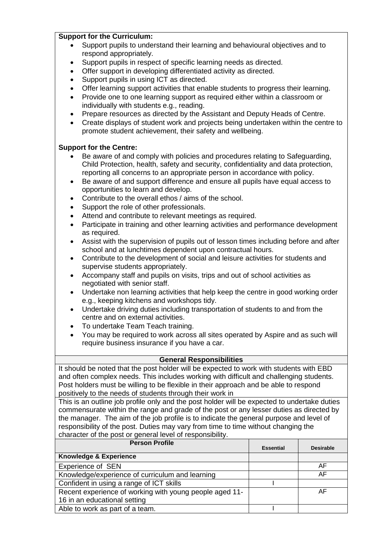#### **Support for the Curriculum:**

- Support pupils to understand their learning and behavioural objectives and to respond appropriately.
- Support pupils in respect of specific learning needs as directed.
- Offer support in developing differentiated activity as directed.
- Support pupils in using ICT as directed.
- Offer learning support activities that enable students to progress their learning.
- Provide one to one learning support as required either within a classroom or individually with students e.g., reading.
- Prepare resources as directed by the Assistant and Deputy Heads of Centre.
- Create displays of student work and projects being undertaken within the centre to promote student achievement, their safety and wellbeing.

#### **Support for the Centre:**

- Be aware of and comply with policies and procedures relating to Safeguarding, Child Protection, health, safety and security, confidentiality and data protection, reporting all concerns to an appropriate person in accordance with policy.
- Be aware of and support difference and ensure all pupils have equal access to opportunities to learn and develop.
- Contribute to the overall ethos / aims of the school.
- Support the role of other professionals.
- Attend and contribute to relevant meetings as required.
- Participate in training and other learning activities and performance development as required.
- Assist with the supervision of pupils out of lesson times including before and after school and at lunchtimes dependent upon contractual hours.
- Contribute to the development of social and leisure activities for students and supervise students appropriately.
- Accompany staff and pupils on visits, trips and out of school activities as negotiated with senior staff.
- Undertake non learning activities that help keep the centre in good working order e.g., keeping kitchens and workshops tidy.
- Undertake driving duties including transportation of students to and from the centre and on external activities.
- To undertake Team Teach training.
- You may be required to work across all sites operated by Aspire and as such will require business insurance if you have a car.

#### **General Responsibilities**

It should be noted that the post holder will be expected to work with students with EBD and often complex needs. This includes working with difficult and challenging students. Post holders must be willing to be flexible in their approach and be able to respond positively to the needs of students through their work in

This is an outline job profile only and the post holder will be expected to undertake duties commensurate within the range and grade of the post or any lesser duties as directed by the manager. The aim of the job profile is to indicate the general purpose and level of responsibility of the post. Duties may vary from time to time without changing the character of the post or general level of responsibility.

| <b>Person Profile</b>                                                                   | <b>Essential</b> | <b>Desirable</b> |
|-----------------------------------------------------------------------------------------|------------------|------------------|
| <b>Knowledge &amp; Experience</b>                                                       |                  |                  |
| <b>Experience of SEN</b>                                                                |                  | AF               |
| Knowledge/experience of curriculum and learning                                         |                  | AF               |
| Confident in using a range of ICT skills                                                |                  |                  |
| Recent experience of working with young people aged 11-<br>16 in an educational setting |                  | AF               |
| Able to work as part of a team.                                                         |                  |                  |